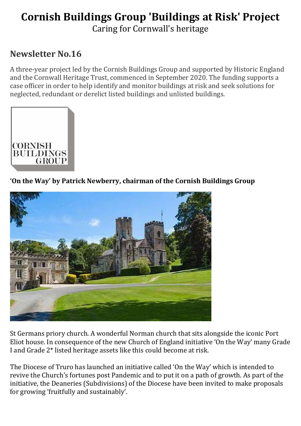# Cornish Buildings Group 'Buildings at Risk' Project

Caring for Cornwall's heritage

# Newsletter No.16

A three-year project led by the Cornish Buildings Group and supported by Historic England and the Cornwall Heritage Trust, commenced in September 2020. The funding supports a case officer in order to help identify and monitor buildings at risk and seek solutions for neglected, redundant or derelict listed buildings and unlisted buildings.



'On the Way' by Patrick Newberry, chairman of the Cornish Buildings Group



St Germans priory church. A wonderful Norman church that sits alongside the iconic Port Eliot house. In consequence of the new Church of England initiative 'On the Way' many Grade I and Grade 2\* listed heritage assets like this could become at risk.

The Diocese of Truro has launched an initiative called 'On the Way' which is intended to revive the Church's fortunes post Pandemic and to put it on a path of growth. As part of the initiative, the Deaneries (Subdivisions) of the Diocese have been invited to make proposals for growing 'fruitfully and sustainably'.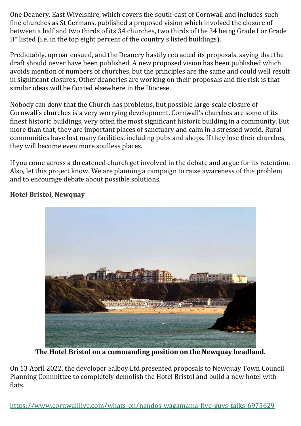One Deanery, East Wivelshire, which covers the south-east of Cornwall and includes such fine churches as St Germans, published a proposed vision which involved the closure of between a half and two thirds of its 34 churches, two thirds of the 34 being Grade I or Grade II\* listed (i.e. in the top eight percent of the country's listed buildings).

Predictably, uproar ensued, and the Deanery hastily retracted its proposals, saying that the draft should never have been published. A new proposed vision has been published which avoids mention of numbers of churches, but the principles are the same and could well result in significant closures. Other deaneries are working on their proposals and the risk is that similar ideas will be floated elsewhere in the Diocese.

Nobody can deny that the Church has problems, but possible large-scale closure of Cornwall's churches is a very worrying development. Cornwall's churches are some of its finest historic buildings, very often the most significant historic building in a community. But more than that, they are important places of sanctuary and calm in a stressed world. Rural communities have lost many facilities, including pubs and shops. If they lose their churches, they will become even more soulless places.

If you come across a threatened church get involved in the debate and argue for its retention. Also, let this project know. We are planning a campaign to raise awareness of this problem and to encourage debate about possible solutions.



Hotel Bristol, Newquay

The Hotel Bristol on a commanding position on the Newquay headland.

On 13 April 2022, the developer Salboy Ltd presented proposals to Newquay Town Council Planning Committee to completely demolish the Hotel Bristol and build a new hotel with flats.

https://www.cornwalllive.com/whats-on/nandos-wagamama-five-guys-talks-6975629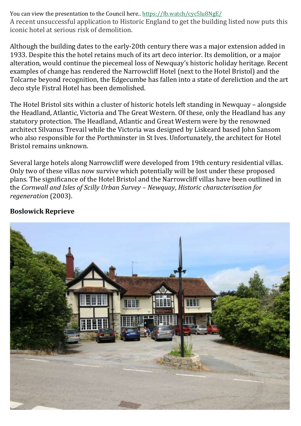You can view the presentation to the Council here.. https://fb.watch/cyc5lu8NgE/ A recent unsuccessful application to Historic England to get the building listed now puts this iconic hotel at serious risk of demolition.

Although the building dates to the early-20th century there was a major extension added in 1933. Despite this the hotel retains much of its art deco interior. Its demolition, or a major alteration, would continue the piecemeal loss of Newquay's historic holiday heritage. Recent examples of change has rendered the Narrowcliff Hotel (next to the Hotel Bristol) and the Tolcarne beyond recognition, the Edgecumbe has fallen into a state of dereliction and the art deco style Fistral Hotel has been demolished.

The Hotel Bristol sits within a cluster of historic hotels left standing in Newquay – alongside the Headland, Atlantic, Victoria and The Great Western. Of these, only the Headland has any statutory protection. The Headland, Atlantic and Great Western were by the renowned architect Silvanus Trevail while the Victoria was designed by Liskeard based John Sansom who also responsible for the Porthminster in St Ives. Unfortunately, the architect for Hotel Bristol remains unknown.

Several large hotels along Narrowcliff were developed from 19th century residential villas. Only two of these villas now survive which potentially will be lost under these proposed plans. The significance of the Hotel Bristol and the Narrowcliff villas have been outlined in the Cornwall and Isles of Scilly Urban Survey – Newquay, Historic characterisation for regeneration (2003).

# Boslowick Reprieve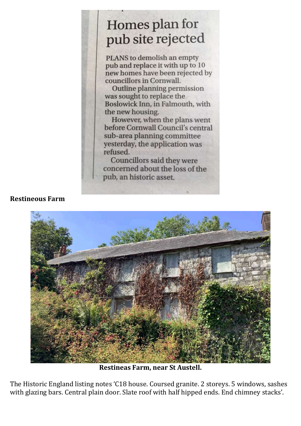# Homes plan for pub site rejected

PLANS to demolish an empty pub and replace it with up to 10 new homes have been rejected by councillors in Cornwall.

Outline planning permission was sought to replace the Boslowick Inn, in Falmouth, with the new housing.

However, when the plans went before Cornwall Council's central sub-area planning committee yesterday, the application was refused.

Councillors said they were concerned about the loss of the pub, an historic asset.

Restineous Farm



Restineas Farm, near St Austell.

The Historic England listing notes 'C18 house. Coursed granite. 2 storeys. 5 windows, sashes with glazing bars. Central plain door. Slate roof with half hipped ends. End chimney stacks'.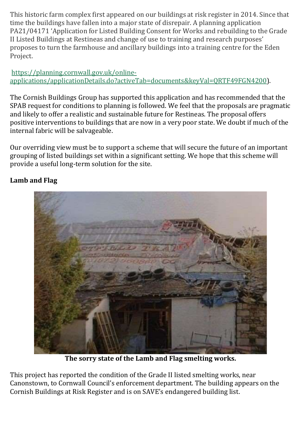This historic farm complex first appeared on our buildings at risk register in 2014. Since that time the buildings have fallen into a major state of disrepair. A planning application PA21/04171 'Application for Listed Building Consent for Works and rebuilding to the Grade II Listed Buildings at Restineas and change of use to training and research purposes' proposes to turn the farmhouse and ancillary buildings into a training centre for the Eden Project.

# https://planning.cornwall.gov.uk/onlineapplications/applicationDetails.do?activeTab=documents&keyVal=QRTF49FGN4200).

The Cornish Buildings Group has supported this application and has recommended that the SPAB request for conditions to planning is followed. We feel that the proposals are pragmatic and likely to offer a realistic and sustainable future for Restineas. The proposal offers positive interventions to buildings that are now in a very poor state. We doubt if much of the internal fabric will be salvageable.

Our overriding view must be to support a scheme that will secure the future of an important grouping of listed buildings set within a significant setting. We hope that this scheme will provide a useful long-term solution for the site.

# Lamb and Flag



The sorry state of the Lamb and Flag smelting works.

This project has reported the condition of the Grade II listed smelting works, near Canonstown, to Cornwall Council's enforcement department. The building appears on the Cornish Buildings at Risk Register and is on SAVE's endangered building list.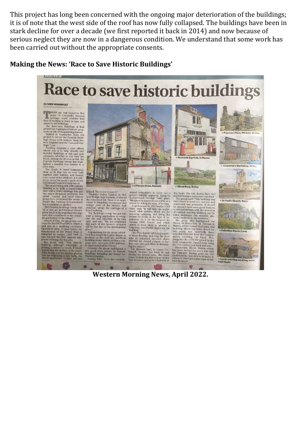This project has long been concerned with the ongoing major deterioration of the buildings; it is of note that the west side of the roof has now fully collapsed. The buildings have been in stark decline for over a decade (we first reported it back in 2014) and now because of serious neglect they are now in a dangerous condition. We understand that some work has been carried out without the appropriate consents.

### Making the News: 'Race to Save Historic Buildings'

**Race to save historic buildings** 

#### **OLIVIER VERGNALILT**

HERE are real concerns that<br>some of Comwall's beloved<br>to heritage could crunble into<br>the distribution of the distribution of the distribution<br>of the distribution of the distribution of the distribution<br>for the statistic of

ust.<br>ing supr as supposes a case omcer, and<br>buildings at risk and seek<br>buildings at risk and seek<br>mong the 50 or so at risk, the<br>Buildings Group has high-<br>handful that remain in a

ade II listed Carpenter's<br>St Day has its roof held St Day has its roof held<br>with battens, and boards<br>me of the windows. It is subto one of the group's applications<br>means to complete the mass and to the properties are unassuming ind -19th enontry<br>and a World Heritage Site and a bond a conservation of the section of<br>h council and local history 1<br>b h c

 $\frac{a}{220}$  declining  $\frac{c}{20}$ ndition<br>efore the



 $\begin{tabular}{p{0.875\textwidth}} \bf{helped. This is one to watch.} \end{tabular} \begin{tabular}{p{0.85\textwidth}} \bf{Fredethyl Wald Garden, in Hel-1} \end{tabular} \begin{tabular}{p{0.85\textwidth}} \bf{Bridge, near Bodmin, is also on the concerned list. There is an application to demollsh, reconstruct and reading parts of the historic wall.} \end{tabular}$ 

right,<br>that p<br>will be

is.<br>spokesman for the group added:<br>y loss would be a great shame as s would be a g<br>in the wall<br>stones which,<br>re once part of<br>tant Bodmin B great shame as

news stories on<br>including the fo n Newtyn.<br>yn FISH Trust has ce

**Example 10**<br>
and considerate consideration of the state in the state of the state of the state of the project viability appraisal, using an the floors. The kiln drying floor and<br>
a Bridge, near Bodmin, is also on Archite

ong cern<br>to the PVA Report will bring together<br>"The PVA Report will bring together<br>take an informed decision about<br>take an informed decision about<br>whether we should commit to fur-<br>ting the cond, risk and effort in develop-

whereast we smoot contrint to hird the project<br>the project of the project of the project of the project<br>ling the project of the contrint of the bowler. The<br>same is the control with the same in sad decline for several years





#### > Wheal Busy, St Day

ullding, which has been closed for<br>any versus, has reportedly been diversed for a<br>variety leads to provide the contract of 240,000 from the Govern-<br>eners's Levelling. Up P Fund. This, the principal on<br>munity, should help b

 $\mathbb{R}$  , and



Western Morning News, April 2022.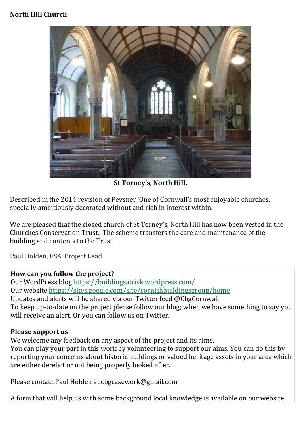# North Hill Church



St Torney's, North Hill.

Described in the 2014 revision of Pevsner 'One of Cornwall's most enjoyable churches, specially ambitiously decorated without and rich in interest within.

We are pleased that the closed church of St Torney's, North Hill has now been vested in the Churches Conservation Trust. The scheme transfers the care and maintenance of the building and contents to the Trust.

Paul Holden, FSA. Project Lead.

## How can you follow the project?

Our WordPress blog https://buildingsatrisk.wordpress.com/ Our website https://sites.google.com/site/cornishbuildingsgroup/home Updates and alerts will be shared via our Twitter feed @CbgCornwall To keep up-to-date on the project please follow our blog; when we have something to say you will receive an alert. Or you can follow us on Twitter.

## Please support us

We welcome any feedback on any aspect of the project and its aims. You can play your part in this work by volunteering to support our aims. You can do this by reporting your concerns about historic buildings or valued heritage assets in your area which are either derelict or not being properly looked after.

Please contact Paul Holden at cbgcasework@gmail.com

A form that will help us with some background local knowledge is available on our website